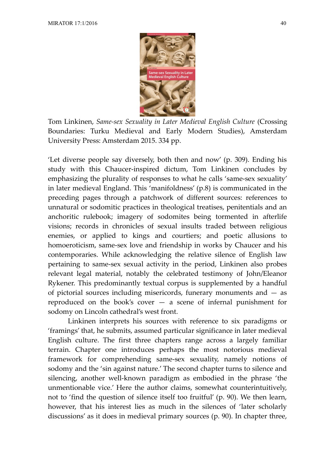

Tom Linkinen, *Same-sex Sexuality in Later Medieval English Culture* (Crossing Boundaries: Turku Medieval and Early Modern Studies), Amsterdam University Press: Amsterdam 2015. 334 pp.

'Let diverse people say diversely, both then and now' (p. 309). Ending his study with this Chaucer-inspired dictum, Tom Linkinen concludes by emphasizing the plurality of responses to what he calls 'same-sex sexuality' in later medieval England. This 'manifoldness' (p.8) is communicated in the preceding pages through a patchwork of different sources: references to unnatural or sodomitic practices in theological treatises, penitentials and an anchoritic rulebook; imagery of sodomites being tormented in afterlife visions; records in chronicles of sexual insults traded between religious enemies, or applied to kings and courtiers; and poetic allusions to homoeroticism, same-sex love and friendship in works by Chaucer and his contemporaries. While acknowledging the relative silence of English law pertaining to same-sex sexual activity in the period, Linkinen also probes relevant legal material, notably the celebrated testimony of John/Eleanor Rykener. This predominantly textual corpus is supplemented by a handful of pictorial sources including misericords, funerary monuments and  $-$  as reproduced on the book's cover  $-$  a scene of infernal punishment for sodomy on Lincoln cathedral's west front.

Linkinen interprets his sources with reference to six paradigms or 'framings' that, he submits, assumed particular significance in later medieval English culture. The first three chapters range across a largely familiar terrain. Chapter one introduces perhaps the most notorious medieval framework for comprehending same-sex sexuality, namely notions of sodomy and the 'sin against nature.' The second chapter turns to silence and silencing, another well-known paradigm as embodied in the phrase 'the unmentionable vice.' Here the author claims, somewhat counterintuitively, not to 'find the question of silence itself too fruitful' (p. 90). We then learn, however, that his interest lies as much in the silences of 'later scholarly discussions' as it does in medieval primary sources (p. 90). In chapter three,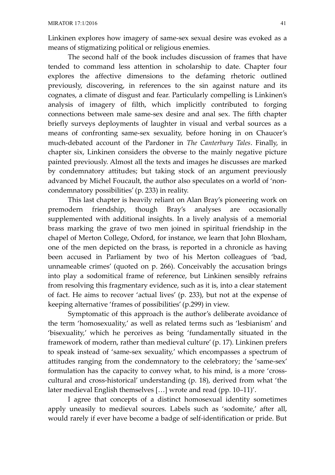Linkinen explores how imagery of same-sex sexual desire was evoked as a means of stigmatizing political or religious enemies.

The second half of the book includes discussion of frames that have tended to command less attention in scholarship to date. Chapter four explores the affective dimensions to the defaming rhetoric outlined previously, discovering, in references to the sin against nature and its cognates, a climate of disgust and fear. Particularly compelling is Linkinen's analysis of imagery of filth, which implicitly contributed to forging connections between male same-sex desire and anal sex. The fifth chapter briefly surveys deployments of laughter in visual and verbal sources as a means of confronting same-sex sexuality, before honing in on Chaucer's much-debated account of the Pardoner in *The Canterbury Tales*. Finally, in chapter six, Linkinen considers the obverse to the mainly negative picture painted previously. Almost all the texts and images he discusses are marked by condemnatory attitudes; but taking stock of an argument previously advanced by Michel Foucault, the author also speculates on a world of 'noncondemnatory possibilities' (p. 233) in reality.

This last chapter is heavily reliant on Alan Bray's pioneering work on premodern friendship, though Bray's analyses are occasionally supplemented with additional insights. In a lively analysis of a memorial brass marking the grave of two men joined in spiritual friendship in the chapel of Merton College, Oxford, for instance, we learn that John Bloxham, one of the men depicted on the brass, is reported in a chronicle as having been accused in Parliament by two of his Merton colleagues of 'bad, unnameable crimes' (quoted on p. 266). Conceivably the accusation brings into play a sodomitical frame of reference, but Linkinen sensibly refrains from resolving this fragmentary evidence, such as it is, into a clear statement of fact. He aims to recover 'actual lives' (p. 233), but not at the expense of keeping alternative 'frames of possibilities' (p.299) in view.

Symptomatic of this approach is the author's deliberate avoidance of the term 'homosexuality,' as well as related terms such as 'lesbianism' and 'bisexuality,' which he perceives as being 'fundamentally situated in the framework of modern, rather than medieval culture' (p. 17). Linkinen prefers to speak instead of 'same-sex sexuality,' which encompasses a spectrum of attitudes ranging from the condemnatory to the celebratory; the 'same-sex' formulation has the capacity to convey what, to his mind, is a more 'crosscultural and cross-historical' understanding (p. 18), derived from what 'the later medieval English themselves […] wrote and read (pp. 10–11)'.

I agree that concepts of a distinct homosexual identity sometimes apply uneasily to medieval sources. Labels such as 'sodomite,' after all, would rarely if ever have become a badge of self-identification or pride. But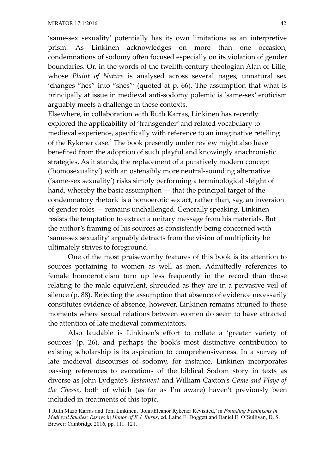'same-sex sexuality' potentially has its own limitations as an interpretive prism. As Linkinen acknowledges on more than one occasion, condemnations of sodomy often focused especially on its violation of gender boundaries. Or, in the words of the twelfth-century theologian Alan of Lille, whose *Plaint of Nature* is analysed across several pages, unnatural sex 'changes "hes" into "shes"' (quoted at p. 66). The assumption that what is principally at issue in medieval anti-sodomy polemic is 'same-sex' eroticism arguably meets a challenge in these contexts.

Elsewhere, in collaboration with Ruth Karras, Linkinen has recently explored the applicability of 'transgender' and related vocabulary to medieval experience, specifically with reference to an imaginative retelling of the Rykener case.<sup>[1](#page-2-0)</sup> The book presently under review might also have benefited from the adoption of such playful and knowingly anachronistic strategies. As it stands, the replacement of a putatively modern concept ('homosexuality') with an ostensibly more neutral-sounding alternative ('same-sex sexuality') risks simply performing a terminological sleight of hand, whereby the basic assumption — that the principal target of the condemnatory rhetoric is a homoerotic sex act, rather than, say, an inversion of gender roles — remains unchallenged. Generally speaking, Linkinen resists the temptation to extract a unitary message from his materials. But the author's framing of his sources as consistently being concerned with 'same-sex sexuality' arguably detracts from the vision of multiplicity he ultimately strives to foreground.

One of the most praiseworthy features of this book is its attention to sources pertaining to women as well as men. Admittedly references to female homoeroticism turn up less frequently in the record than those relating to the male equivalent, shrouded as they are in a pervasive veil of silence (p. 88). Rejecting the assumption that absence of evidence necessarily constitutes evidence of absence, however, Linkinen remains attuned to those moments where sexual relations between women do seem to have attracted the attention of late medieval commentators.

Also laudable is Linkinen's effort to collate a 'greater variety of sources' (p. 26), and perhaps the book's most distinctive contribution to existing scholarship is its aspiration to comprehensiveness. In a survey of late medieval discourses of sodomy, for instance, Linkinen incorporates passing references to evocations of the biblical Sodom story in texts as diverse as John Lydgate's *Testament* and William Caxton's *Game and Playe of the Chesse*, both of which (as far as I'm aware) haven't previously been included in treatments of this topic*.*

<span id="page-2-0"></span><sup>1</sup> Ruth Mazo Karras and Tom Linkinen, 'John/Eleanor Rykener Revisited,' in *Founding Feminisms in Medieval Studies: Essays in Honor of E.J. Burns*, ed. Laine E. Doggett and Daniel E. O'Sullivan, D. S. Brewer: Cambridge 2016, pp. 111–121.